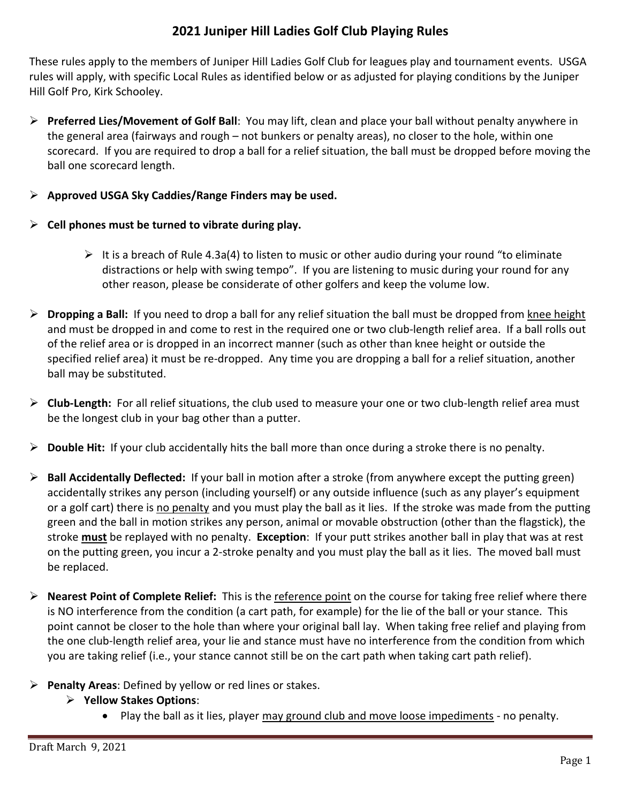## **2021 Juniper Hill Ladies Golf Club Playing Rules**

These rules apply to the members of Juniper Hill Ladies Golf Club for leagues play and tournament events. USGA rules will apply, with specific Local Rules as identified below or as adjusted for playing conditions by the Juniper Hill Golf Pro, Kirk Schooley.

- ➢ **Preferred Lies/Movement of Golf Ball**: You may lift, clean and place your ball without penalty anywhere in the general area (fairways and rough – not bunkers or penalty areas), no closer to the hole, within one scorecard. If you are required to drop a ball for a relief situation, the ball must be dropped before moving the ball one scorecard length.
- ➢ **Approved USGA Sky Caddies/Range Finders may be used.**
- ➢ **Cell phones must be turned to vibrate during play.**
	- $\triangleright$  It is a breach of Rule 4.3a(4) to listen to music or other audio during your round "to eliminate distractions or help with swing tempo". If you are listening to music during your round for any other reason, please be considerate of other golfers and keep the volume low.
- ➢ **Dropping a Ball:** If you need to drop a ball for any relief situation the ball must be dropped from knee height and must be dropped in and come to rest in the required one or two club-length relief area. If a ball rolls out of the relief area or is dropped in an incorrect manner (such as other than knee height or outside the specified relief area) it must be re-dropped. Any time you are dropping a ball for a relief situation, another ball may be substituted.
- ➢ **Club-Length:** For all relief situations, the club used to measure your one or two club-length relief area must be the longest club in your bag other than a putter.
- ➢ **Double Hit:** If your club accidentally hits the ball more than once during a stroke there is no penalty.
- ➢ **Ball Accidentally Deflected:** If your ball in motion after a stroke (from anywhere except the putting green) accidentally strikes any person (including yourself) or any outside influence (such as any player's equipment or a golf cart) there is no penalty and you must play the ball as it lies. If the stroke was made from the putting green and the ball in motion strikes any person, animal or movable obstruction (other than the flagstick), the stroke **must** be replayed with no penalty. **Exception**: If your putt strikes another ball in play that was at rest on the putting green, you incur a 2-stroke penalty and you must play the ball as it lies. The moved ball must be replaced.
- ➢ **Nearest Point of Complete Relief:** This is the reference point on the course for taking free relief where there is NO interference from the condition (a cart path, for example) for the lie of the ball or your stance. This point cannot be closer to the hole than where your original ball lay. When taking free relief and playing from the one club-length relief area, your lie and stance must have no interference from the condition from which you are taking relief (i.e., your stance cannot still be on the cart path when taking cart path relief).
- ➢ **Penalty Areas**: Defined by yellow or red lines or stakes.
	- ➢ **Yellow Stakes Options**:
		- Play the ball as it lies, player may ground club and move loose impediments no penalty.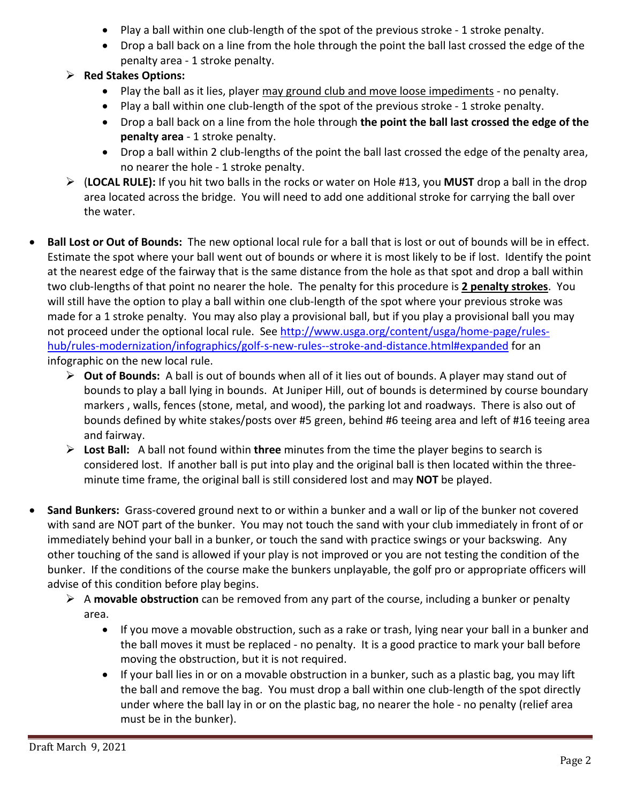- Play a ball within one club-length of the spot of the previous stroke 1 stroke penalty.
- Drop a ball back on a line from the hole through the point the ball last crossed the edge of the penalty area - 1 stroke penalty.
- ➢ **Red Stakes Options:**
	- Play the ball as it lies, player may ground club and move loose impediments no penalty.
	- Play a ball within one club-length of the spot of the previous stroke 1 stroke penalty.
	- Drop a ball back on a line from the hole through **the point the ball last crossed the edge of the penalty area** - 1 stroke penalty.
	- Drop a ball within 2 club-lengths of the point the ball last crossed the edge of the penalty area, no nearer the hole - 1 stroke penalty.
- ➢ (**LOCAL RULE):** If you hit two balls in the rocks or water on Hole #13, you **MUST** drop a ball in the drop area located across the bridge. You will need to add one additional stroke for carrying the ball over the water.
- **Ball Lost or Out of Bounds:** The new optional local rule for a ball that is lost or out of bounds will be in effect. Estimate the spot where your ball went out of bounds or where it is most likely to be if lost. Identify the point at the nearest edge of the fairway that is the same distance from the hole as that spot and drop a ball within two club-lengths of that point no nearer the hole. The penalty for this procedure is **2 penalty strokes**. You will still have the option to play a ball within one club-length of the spot where your previous stroke was made for a 1 stroke penalty. You may also play a provisional ball, but if you play a provisional ball you may not proceed under the optional local rule. See [http://www.usga.org/content/usga/home-page/rules](http://www.usga.org/content/usga/home-page/rules-hub/rules-modernization/infographics/golf-s-new-rules--stroke-and-distance.html#expanded)[hub/rules-modernization/infographics/golf-s-new-rules--stroke-and-distance.html#expanded](http://www.usga.org/content/usga/home-page/rules-hub/rules-modernization/infographics/golf-s-new-rules--stroke-and-distance.html#expanded) for an infographic on the new local rule.
	- ➢ **Out of Bounds:** A ball is out of bounds when all of it lies out of bounds. A player may stand out of bounds to play a ball lying in bounds. At Juniper Hill, out of bounds is determined by course boundary markers , walls, fences (stone, metal, and wood), the parking lot and roadways. There is also out of bounds defined by white stakes/posts over #5 green, behind #6 teeing area and left of #16 teeing area and fairway.
	- ➢ **Lost Ball:** A ball not found within **three** minutes from the time the player begins to search is considered lost. If another ball is put into play and the original ball is then located within the threeminute time frame, the original ball is still considered lost and may **NOT** be played.
- **Sand Bunkers:** Grass-covered ground next to or within a bunker and a wall or lip of the bunker not covered with sand are NOT part of the bunker. You may not touch the sand with your club immediately in front of or immediately behind your ball in a bunker, or touch the sand with practice swings or your backswing. Any other touching of the sand is allowed if your play is not improved or you are not testing the condition of the bunker. If the conditions of the course make the bunkers unplayable, the golf pro or appropriate officers will advise of this condition before play begins.
	- ➢ A **movable obstruction** can be removed from any part of the course, including a bunker or penalty area.
		- If you move a movable obstruction, such as a rake or trash, lying near your ball in a bunker and the ball moves it must be replaced - no penalty. It is a good practice to mark your ball before moving the obstruction, but it is not required.
		- If your ball lies in or on a movable obstruction in a bunker, such as a plastic bag, you may lift the ball and remove the bag. You must drop a ball within one club-length of the spot directly under where the ball lay in or on the plastic bag, no nearer the hole - no penalty (relief area must be in the bunker).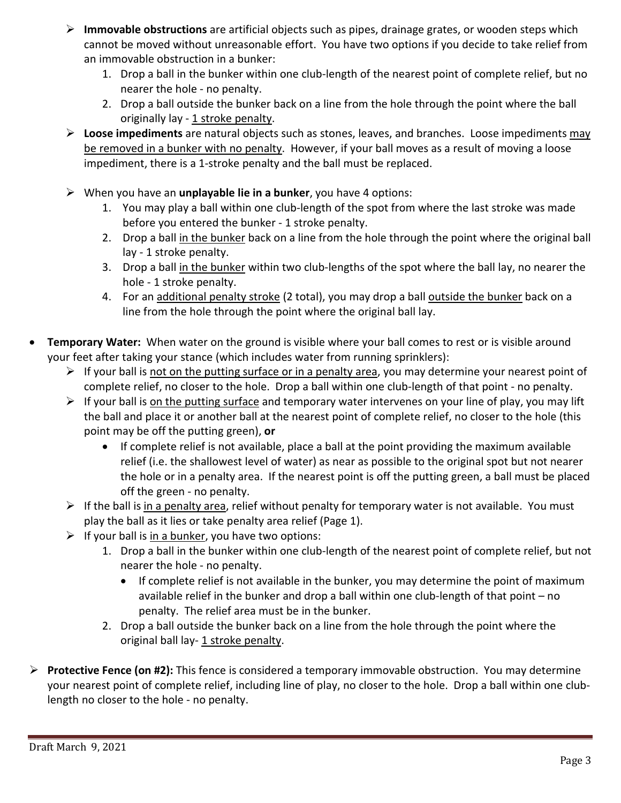- ➢ **Immovable obstructions** are artificial objects such as pipes, drainage grates, or wooden steps which cannot be moved without unreasonable effort. You have two options if you decide to take relief from an immovable obstruction in a bunker:
	- 1. Drop a ball in the bunker within one club-length of the nearest point of complete relief, but no nearer the hole - no penalty.
	- 2. Drop a ball outside the bunker back on a line from the hole through the point where the ball originally lay -  $1$  stroke penalty.
- ➢ **Loose impediments** are natural objects such as stones, leaves, and branches. Loose impediments may be removed in a bunker with no penalty. However, if your ball moves as a result of moving a loose impediment, there is a 1-stroke penalty and the ball must be replaced.
- ➢ When you have an **unplayable lie in a bunker**, you have 4 options:
	- 1. You may play a ball within one club-length of the spot from where the last stroke was made before you entered the bunker - 1 stroke penalty.
	- 2. Drop a ball in the bunker back on a line from the hole through the point where the original ball lay - 1 stroke penalty.
	- 3. Drop a ball in the bunker within two club-lengths of the spot where the ball lay, no nearer the hole - 1 stroke penalty.
	- 4. For an additional penalty stroke (2 total), you may drop a ball outside the bunker back on a line from the hole through the point where the original ball lay.
- **Temporary Water:** When water on the ground is visible where your ball comes to rest or is visible around your feet after taking your stance (which includes water from running sprinklers):
	- $\triangleright$  If your ball is not on the putting surface or in a penalty area, you may determine your nearest point of complete relief, no closer to the hole. Drop a ball within one club-length of that point - no penalty.
	- $\triangleright$  If your ball is on the putting surface and temporary water intervenes on your line of play, you may lift the ball and place it or another ball at the nearest point of complete relief, no closer to the hole (this point may be off the putting green), **or**
		- If complete relief is not available, place a ball at the point providing the maximum available relief (i.e. the shallowest level of water) as near as possible to the original spot but not nearer the hole or in a penalty area. If the nearest point is off the putting green, a ball must be placed off the green - no penalty.
	- $\triangleright$  If the ball is <u>in a penalty area</u>, relief without penalty for temporary water is not available. You must play the ball as it lies or take penalty area relief (Page 1).
	- $\triangleright$  If your ball is in a bunker, you have two options:
		- 1. Drop a ball in the bunker within one club-length of the nearest point of complete relief, but not nearer the hole - no penalty.
			- If complete relief is not available in the bunker, you may determine the point of maximum available relief in the bunker and drop a ball within one club-length of that point – no penalty. The relief area must be in the bunker.
		- 2. Drop a ball outside the bunker back on a line from the hole through the point where the original ball lay-1 stroke penalty.
- ➢ **Protective Fence (on #2):** This fence is considered a temporary immovable obstruction. You may determine your nearest point of complete relief, including line of play, no closer to the hole. Drop a ball within one clublength no closer to the hole - no penalty.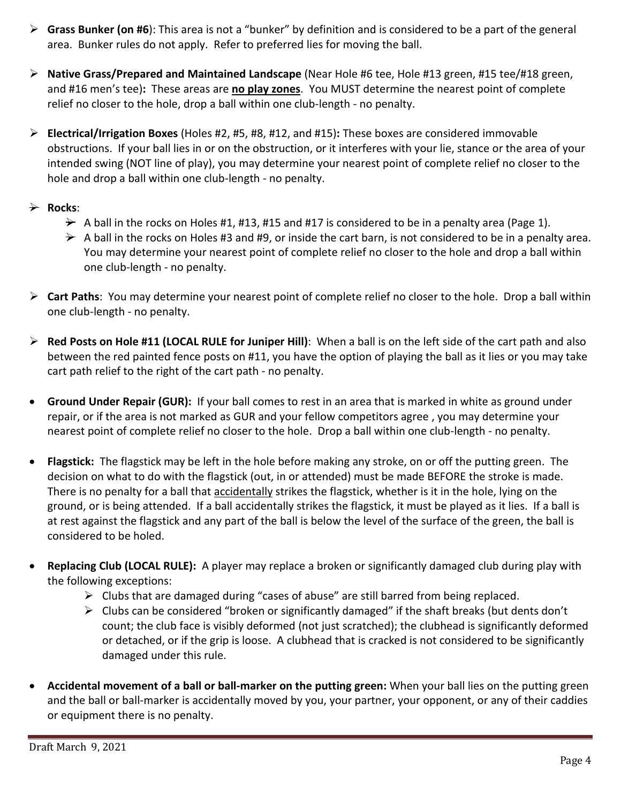- ➢ **Grass Bunker (on #6**): This area is not a "bunker" by definition and is considered to be a part of the general area. Bunker rules do not apply. Refer to preferred lies for moving the ball.
- ➢ **Native Grass/Prepared and Maintained Landscape** (Near Hole #6 tee, Hole #13 green, #15 tee/#18 green, and #16 men's tee)**:** These areas are **no play zones**. You MUST determine the nearest point of complete relief no closer to the hole, drop a ball within one club-length - no penalty.
- ➢ **Electrical/Irrigation Boxes** (Holes #2, #5, #8, #12, and #15)**:** These boxes are considered immovable obstructions.If your ball lies in or on the obstruction, or it interferes with your lie, stance or the area of your intended swing (NOT line of play), you may determine your nearest point of complete relief no closer to the hole and drop a ball within one club-length - no penalty.

### ➢ **Rocks**:

- $\rightarrow$  A ball in the rocks on Holes #1, #13, #15 and #17 is considered to be in a penalty area (Page 1).
- $\rightarrow$  A ball in the rocks on Holes #3 and #9, or inside the cart barn, is not considered to be in a penalty area. You may determine your nearest point of complete relief no closer to the hole and drop a ball within one club-length - no penalty.
- ➢ **Cart Paths**: You may determine your nearest point of complete relief no closer to the hole. Drop a ball within one club-length - no penalty.
- ➢ **Red Posts on Hole #11 (LOCAL RULE for Juniper Hill)**: When a ball is on the left side of the cart path and also between the red painted fence posts on #11, you have the option of playing the ball as it lies or you may take cart path relief to the right of the cart path - no penalty.
- **Ground Under Repair (GUR):** If your ball comes to rest in an area that is marked in white as ground under repair, or if the area is not marked as GUR and your fellow competitors agree , you may determine your nearest point of complete relief no closer to the hole. Drop a ball within one club-length - no penalty.
- **Flagstick:** The flagstick may be left in the hole before making any stroke, on or off the putting green. The decision on what to do with the flagstick (out, in or attended) must be made BEFORE the stroke is made. There is no penalty for a ball that accidentally strikes the flagstick, whether is it in the hole, lying on the ground, or is being attended. If a ball accidentally strikes the flagstick, it must be played as it lies. If a ball is at rest against the flagstick and any part of the ball is below the level of the surface of the green, the ball is considered to be holed.
- **Replacing Club (LOCAL RULE):** A player may replace a broken or significantly damaged club during play with the following exceptions:
	- $\triangleright$  Clubs that are damaged during "cases of abuse" are still barred from being replaced.
	- $\triangleright$  Clubs can be considered "broken or significantly damaged" if the shaft breaks (but dents don't count; the club face is visibly deformed (not just scratched); the clubhead is significantly deformed or detached, or if the grip is loose. A clubhead that is cracked is not considered to be significantly damaged under this rule.
- **Accidental movement of a ball or ball-marker on the putting green:** When your ball lies on the putting green and the ball or ball-marker is accidentally moved by you, your partner, your opponent, or any of their caddies or equipment there is no penalty.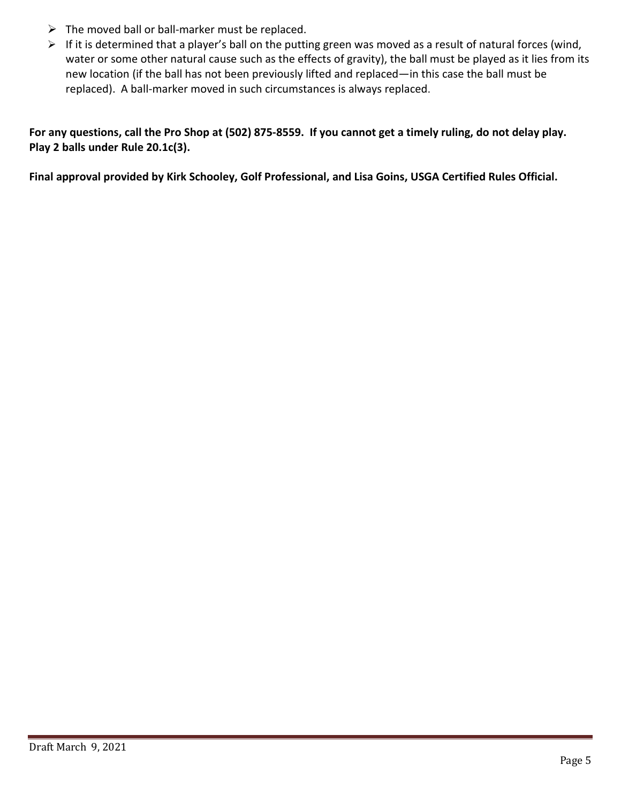- $\triangleright$  The moved ball or ball-marker must be replaced.
- ➢ If it is determined that a player's ball on the putting green was moved as a result of natural forces (wind, water or some other natural cause such as the effects of gravity), the ball must be played as it lies from its new location (if the ball has not been previously lifted and replaced—in this case the ball must be replaced). A ball-marker moved in such circumstances is always replaced.

For any questions, call the Pro Shop at (502) 875-8559. If you cannot get a timely ruling, do not delay play. **Play 2 balls under Rule 20.1c(3).**

**Final approval provided by Kirk Schooley, Golf Professional, and Lisa Goins, USGA Certified Rules Official.**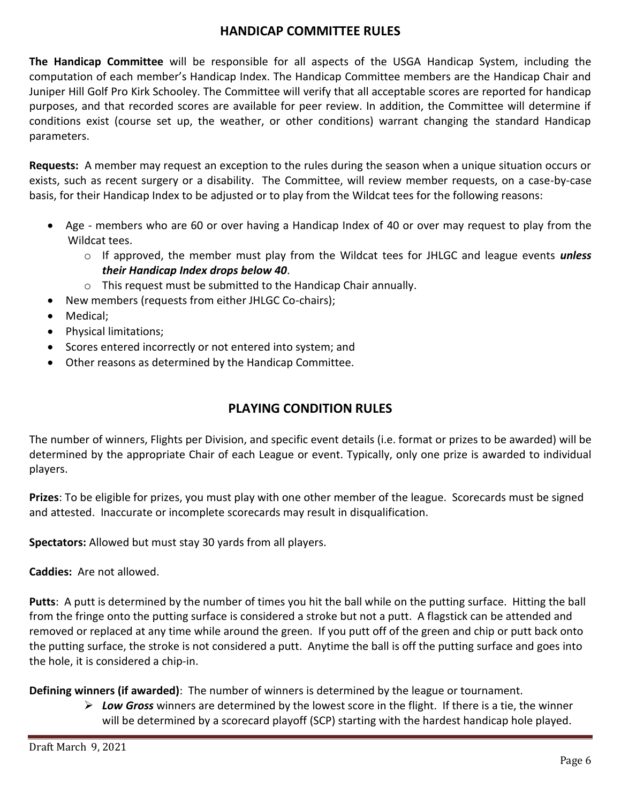### **HANDICAP COMMITTEE RULES**

**The Handicap Committee** will be responsible for all aspects of the USGA Handicap System, including the computation of each member's Handicap Index. The Handicap Committee members are the Handicap Chair and Juniper Hill Golf Pro Kirk Schooley. The Committee will verify that all acceptable scores are reported for handicap purposes, and that recorded scores are available for peer review. In addition, the Committee will determine if conditions exist (course set up, the weather, or other conditions) warrant changing the standard Handicap parameters.

**Requests:** A member may request an exception to the rules during the season when a unique situation occurs or exists, such as recent surgery or a disability. The Committee, will review member requests, on a case-by-case basis, for their Handicap Index to be adjusted or to play from the Wildcat tees for the following reasons:

- Age members who are 60 or over having a Handicap Index of 40 or over may request to play from the Wildcat tees.
	- o If approved, the member must play from the Wildcat tees for JHLGC and league events *unless their Handicap Index drops below 40*.
	- o This request must be submitted to the Handicap Chair annually.
- New members (requests from either JHLGC Co-chairs);
- Medical;
- Physical limitations;
- Scores entered incorrectly or not entered into system; and
- Other reasons as determined by the Handicap Committee.

# **PLAYING CONDITION RULES**

The number of winners, Flights per Division, and specific event details (i.e. format or prizes to be awarded) will be determined by the appropriate Chair of each League or event. Typically, only one prize is awarded to individual players.

**Prizes**: To be eligible for prizes, you must play with one other member of the league. Scorecards must be signed and attested. Inaccurate or incomplete scorecards may result in disqualification.

**Spectators:** Allowed but must stay 30 yards from all players.

**Caddies:** Are not allowed.

**Putts**: A putt is determined by the number of times you hit the ball while on the putting surface. Hitting the ball from the fringe onto the putting surface is considered a stroke but not a putt. A flagstick can be attended and removed or replaced at any time while around the green. If you putt off of the green and chip or putt back onto the putting surface, the stroke is not considered a putt. Anytime the ball is off the putting surface and goes into the hole, it is considered a chip-in.

**Defining winners (if awarded)**:The number of winners is determined by the league or tournament.

➢ *Low Gross* winners are determined by the lowest score in the flight. If there is a tie, the winner will be determined by a scorecard playoff (SCP) starting with the hardest handicap hole played.